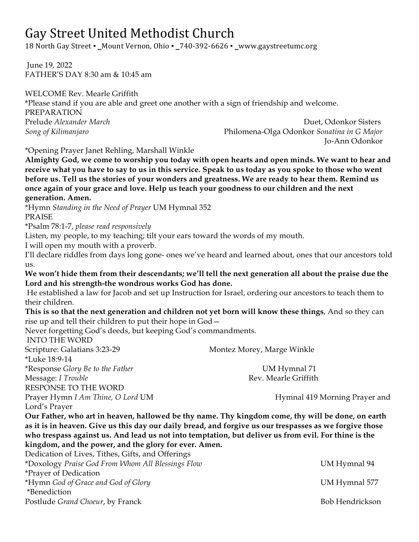# Gay Street United Methodist Church

18 North Gay Street **▪ \_**Mount Vernon, Ohio **▪ \_**740-392-6626 **▪ \_**www.gaystreetumc.org 

June 19, 2022 FATHER'S DAY 8:30 am & 10:45 am

WELCOME Rev. Mearle Griffith \*Please stand if you are able and greet one another with a sign of friendship and welcome. PREPARATION Prelude *Alexander March* Duet, Odonkor Sisters *Song of Kilimanjaro* Philomena-Olga Odonkor *Sonatina in G Major* Jo-Ann Odonkor

\*Opening Prayer Janet Rehling, Marshall Winkle

**Almighty God, we come to worship you today with open hearts and open minds. We want to hear and receive what you have to say to us in this service. Speak to us today as you spoke to those who went before us. Tell us the stories of your wonders and greatness. We are ready to hear them. Remind us once again of your grace and love. Help us teach your goodness to our children and the next generation. Amen.** 

\*Hymn *Standing in the Need of Prayer* UM Hymnal 352 PRAISE

\*Psalm 78:1-7, *please read responsively* 

Listen, my people, to my teaching; tilt your ears toward the words of my mouth.

I will open my mouth with a proverb.

I'll declare riddles from days long gone- ones we've heard and learned about, ones that our ancestors told us.

**We won't hide them from their descendants; we'll tell the next generation all about the praise due the Lord and his strength-the wondrous works God has done.**

He established a law for Jacob and set up Instruction for Israel, ordering our ancestors to teach them to their children.

**This is so that the next generation and children not yet born will know these things**, And so they can rise up and tell their children to put their hope in God—

Never forgetting God's deeds, but keeping God's commandments.

INTO THE WORD Scripture: Galatians 3:23-29 Montez Morey, Marge Winkle \*Luke 18:9-14 \*Response *Glory Be to the Father* UM Hymnal 71 Message: *I Trouble* Rev. Mearle Griffith RESPONSE TO THE WORD Prayer Hymn *I Am Thine, O Lord* UM **Hymnal 419 Morning Prayer and** Lord's Prayer **Our Father, who art in heaven, hallowed be thy name. Thy kingdom come, thy will be done, on earth** 

**as it is in heaven. Give us this day our daily bread, and forgive us our trespasses as we forgive those who trespass against us. And lead us not into temptation, but deliver us from evil. For thine is the kingdom, and the power, and the glory for ever. Amen.** 

| Dedication of Lives, Tithes, Gifts, and Offerings |                 |
|---------------------------------------------------|-----------------|
| *Doxology Praise God From Whom All Blessings Flow | UM Hymnal 94    |
| *Prayer of Dedication                             |                 |
| *Hymn God of Grace and God of Glory               | UM Hymnal 577   |
| *Benediction                                      |                 |
| Postlude Grand Choeur, by Franck                  | Bob Hendrickson |
|                                                   |                 |